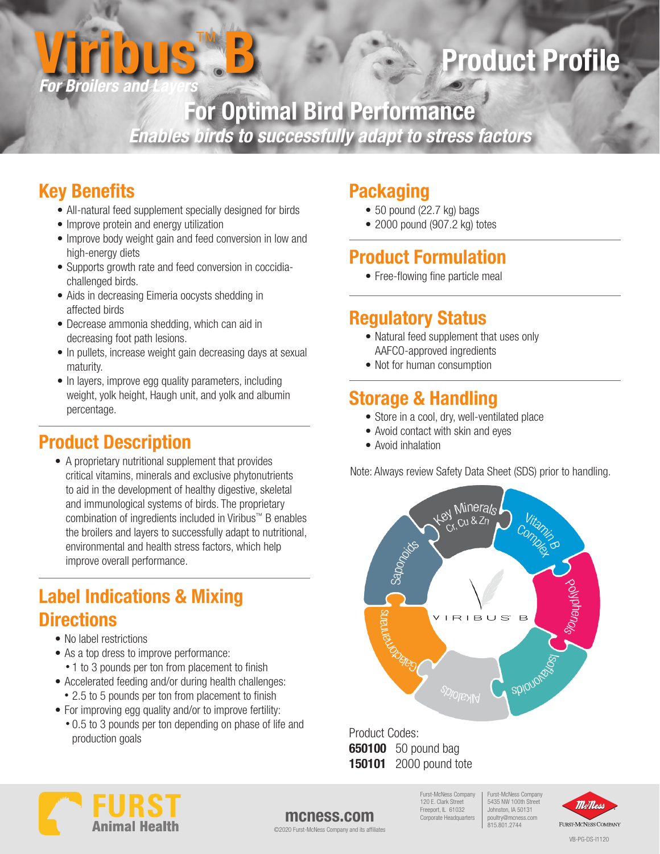

# Product Profile

For Optimal Bird Performance *Enables birds to successfully adapt to stress factors*

# Key Benefits

- All-natural feed supplement specially designed for birds
- Improve protein and energy utilization
- Improve body weight gain and feed conversion in low and high-energy diets
- Supports growth rate and feed conversion in coccidiachallenged birds.
- Aids in decreasing Eimeria oocysts shedding in affected birds
- Decrease ammonia shedding, which can aid in decreasing foot path lesions.
- In pullets, increase weight gain decreasing days at sexual maturity.
- In layers, improve egg quality parameters, including weight, yolk height, Haugh unit, and yolk and albumin percentage.

# Product Description

• A proprietary nutritional supplement that provides critical vitamins, minerals and exclusive phytonutrients to aid in the development of healthy digestive, skeletal and immunological systems of birds. The proprietary combination of ingredients included in Viribus™ B enables the broilers and layers to successfully adapt to nutritional, environmental and health stress factors, which help improve overall performance.

# Label Indications & Mixing **Directions**

- No label restrictions
- As a top dress to improve performance:
- 1 to 3 pounds per ton from placement to finish
- Accelerated feeding and/or during health challenges: • 2.5 to 5 pounds per ton from placement to finish
- For improving egg quality and/or to improve fertility:
- 0.5 to 3 pounds per ton depending on phase of life and production goals

# **Packaging**

- 50 pound (22.7 kg) bags
- 2000 pound (907.2 kg) totes

# Product Formulation

• Free-flowing fine particle meal

# Regulatory Status

- Natural feed supplement that uses only AAFCO-approved ingredients
- Not for human consumption

# Storage & Handling

- Store in a cool, dry, well-ventilated place
- Avoid contact with skin and eyes
- Avoid inhalation

Note: Always review Safety Data Sheet (SDS) prior to handling.



Product Codes: **650100** 50 pound bag **150101** 2000 pound tote



### mcness.com

©2020 Furst-McNess Company and its affiliates

Furst-McNess Company 5435 NW 100th Street Johnston, IA 50131 poultry@mcness.com 815.801.2744 Furst-McNess Company 120 E. Clark Street Freeport, IL 61032 Corporate Headquarters